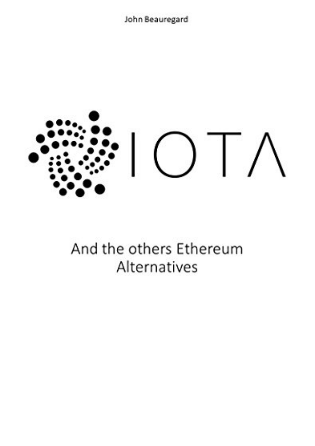John Beauregard



And the others Ethereum Alternatives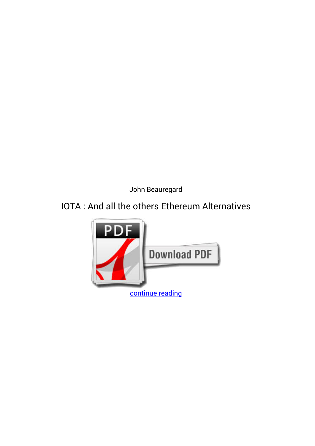*John Beauregard*

## **IOTA : And all the others Ethereum Alternatives**

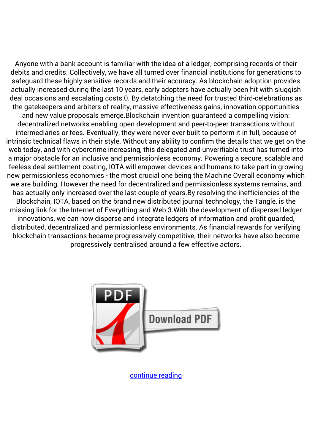Anyone with a bank account is familiar with the idea of a ledger, comprising records of their debits and credits. Collectively, we have all turned over financial institutions for generations to safeguard these highly sensitive records and their accuracy. As blockchain adoption provides actually increased during the last 10 years, early adopters have actually been hit with sluggish deal occasions and escalating costs.0. By detatching the need for trusted third-celebrations as the gatekeepers and arbiters of reality, massive effectiveness gains, innovation opportunities and new value proposals emerge.Blockchain invention guaranteed a compelling vision: decentralized networks enabling open development and peer-to-peer transactions without intermediaries or fees. Eventually, they were never ever built to perform it in full, because of intrinsic technical flaws in their style. Without any ability to confirm the details that we get on the web today, and with cybercrime increasing, this delegated and unverifiable trust has turned into a major obstacle for an inclusive and permissionless economy. Powering a secure, scalable and feeless deal settlement coating, IOTA will empower devices and humans to take part in growing new permissionless economies - the most crucial one being the Machine Overall economy which we are building. However the need for decentralized and permissionless systems remains, and has actually only increased over the last couple of years.By resolving the inefficiencies of the Blockchain, IOTA, based on the brand new distributed journal technology, the Tangle, is the missing link for the Internet of Everything and Web 3.With the development of dispersed ledger innovations, we can now disperse and integrate ledgers of information and profit guarded, distributed, decentralized and permissionless environments. As financial rewards for verifying blockchain transactions became progressively competitive, their networks have also become progressively centralised around a few effective actors.



[continue reading](http://bit.ly/2Tge8Fv)